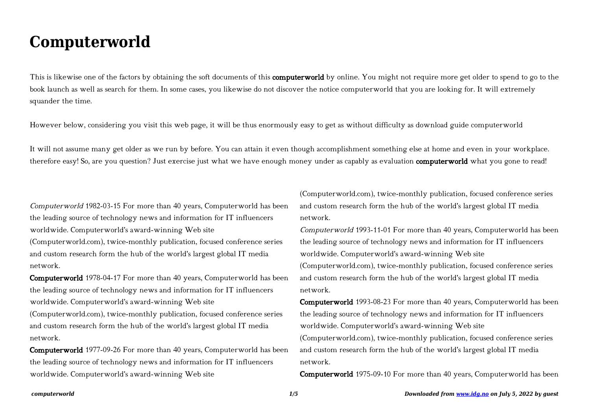## **Computerworld**

This is likewise one of the factors by obtaining the soft documents of this **computerworld** by online. You might not require more get older to spend to go to the book launch as well as search for them. In some cases, you likewise do not discover the notice computerworld that you are looking for. It will extremely squander the time.

However below, considering you visit this web page, it will be thus enormously easy to get as without difficulty as download guide computerworld

It will not assume many get older as we run by before. You can attain it even though accomplishment something else at home and even in your workplace. therefore easy! So, are you question? Just exercise just what we have enough money under as capably as evaluation **computerworld** what you gone to read!

Computerworld 1982-03-15 For more than 40 years, Computerworld has been the leading source of technology news and information for IT influencers worldwide. Computerworld's award-winning Web site

(Computerworld.com), twice-monthly publication, focused conference series and custom research form the hub of the world's largest global IT media network.

Computerworld 1978-04-17 For more than 40 years, Computerworld has been the leading source of technology news and information for IT influencers worldwide. Computerworld's award-winning Web site

(Computerworld.com), twice-monthly publication, focused conference series and custom research form the hub of the world's largest global IT media network.

Computerworld 1977-09-26 For more than 40 years, Computerworld has been the leading source of technology news and information for IT influencers worldwide. Computerworld's award-winning Web site

(Computerworld.com), twice-monthly publication, focused conference series and custom research form the hub of the world's largest global IT media network.

Computerworld 1993-11-01 For more than 40 years, Computerworld has been the leading source of technology news and information for IT influencers worldwide. Computerworld's award-winning Web site (Computerworld.com), twice-monthly publication, focused conference series and custom research form the hub of the world's largest global IT media network.

Computerworld 1993-08-23 For more than 40 years, Computerworld has been the leading source of technology news and information for IT influencers worldwide. Computerworld's award-winning Web site (Computerworld.com), twice-monthly publication, focused conference series and custom research form the hub of the world's largest global IT media network.

Computerworld 1975-09-10 For more than 40 years, Computerworld has been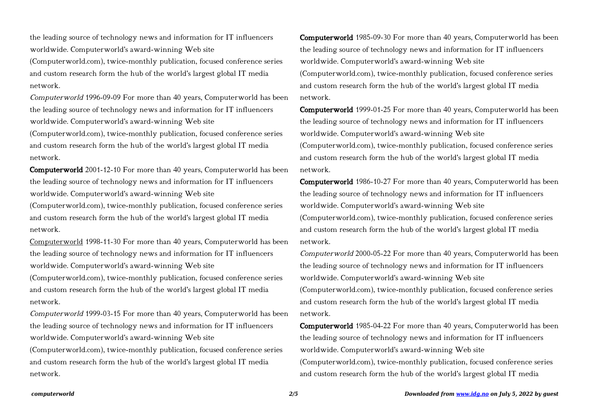the leading source of technology news and information for IT influencers worldwide. Computerworld's award-winning Web site

(Computerworld.com), twice-monthly publication, focused conference series and custom research form the hub of the world's largest global IT media network.

Computerworld 1996-09-09 For more than 40 years, Computerworld has been the leading source of technology news and information for IT influencers worldwide. Computerworld's award-winning Web site

(Computerworld.com), twice-monthly publication, focused conference series and custom research form the hub of the world's largest global IT media network.

Computerworld 2001-12-10 For more than 40 years, Computerworld has been the leading source of technology news and information for IT influencers worldwide. Computerworld's award-winning Web site

(Computerworld.com), twice-monthly publication, focused conference series and custom research form the hub of the world's largest global IT media network.

Computerworld 1998-11-30 For more than 40 years, Computerworld has been the leading source of technology news and information for IT influencers worldwide. Computerworld's award-winning Web site

(Computerworld.com), twice-monthly publication, focused conference series and custom research form the hub of the world's largest global IT media network.

Computerworld 1999-03-15 For more than 40 years, Computerworld has been the leading source of technology news and information for IT influencers worldwide. Computerworld's award-winning Web site

(Computerworld.com), twice-monthly publication, focused conference series and custom research form the hub of the world's largest global IT media network.

Computerworld 1985-09-30 For more than 40 years, Computerworld has been the leading source of technology news and information for IT influencers worldwide. Computerworld's award-winning Web site (Computerworld.com), twice-monthly publication, focused conference series and custom research form the hub of the world's largest global IT media network.

Computerworld 1999-01-25 For more than 40 years, Computerworld has been the leading source of technology news and information for IT influencers worldwide. Computerworld's award-winning Web site (Computerworld.com), twice-monthly publication, focused conference series and custom research form the hub of the world's largest global IT media network.

Computerworld 1986-10-27 For more than 40 years, Computerworld has been the leading source of technology news and information for IT influencers worldwide. Computerworld's award-winning Web site (Computerworld.com), twice-monthly publication, focused conference series and custom research form the hub of the world's largest global IT media network.

Computerworld 2000-05-22 For more than 40 years, Computerworld has been the leading source of technology news and information for IT influencers worldwide. Computerworld's award-winning Web site

(Computerworld.com), twice-monthly publication, focused conference series and custom research form the hub of the world's largest global IT media network.

Computerworld 1985-04-22 For more than 40 years, Computerworld has been the leading source of technology news and information for IT influencers worldwide. Computerworld's award-winning Web site

(Computerworld.com), twice-monthly publication, focused conference series and custom research form the hub of the world's largest global IT media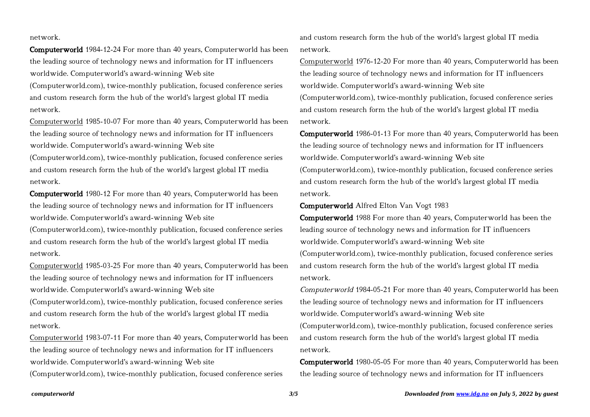## network.

Computerworld 1984-12-24 For more than 40 years, Computerworld has been the leading source of technology news and information for IT influencers worldwide. Computerworld's award-winning Web site

(Computerworld.com), twice-monthly publication, focused conference series and custom research form the hub of the world's largest global IT media network.

Computerworld 1985-10-07 For more than 40 years, Computerworld has been the leading source of technology news and information for IT influencers worldwide. Computerworld's award-winning Web site

(Computerworld.com), twice-monthly publication, focused conference series and custom research form the hub of the world's largest global IT media network.

Computerworld 1980-12 For more than 40 years, Computerworld has been the leading source of technology news and information for IT influencers worldwide. Computerworld's award-winning Web site

(Computerworld.com), twice-monthly publication, focused conference series and custom research form the hub of the world's largest global IT media network.

Computerworld 1985-03-25 For more than 40 years, Computerworld has been the leading source of technology news and information for IT influencers worldwide. Computerworld's award-winning Web site

(Computerworld.com), twice-monthly publication, focused conference series and custom research form the hub of the world's largest global IT media network.

Computerworld 1983-07-11 For more than 40 years, Computerworld has been the leading source of technology news and information for IT influencers worldwide. Computerworld's award-winning Web site

(Computerworld.com), twice-monthly publication, focused conference series

and custom research form the hub of the world's largest global IT media network.

Computerworld 1976-12-20 For more than 40 years, Computerworld has been the leading source of technology news and information for IT influencers worldwide. Computerworld's award-winning Web site

(Computerworld.com), twice-monthly publication, focused conference series and custom research form the hub of the world's largest global IT media network.

Computerworld 1986-01-13 For more than 40 years, Computerworld has been the leading source of technology news and information for IT influencers worldwide. Computerworld's award-winning Web site

(Computerworld.com), twice-monthly publication, focused conference series and custom research form the hub of the world's largest global IT media network.

Computerworld Alfred Elton Van Vogt 1983

Computerworld 1988 For more than 40 years, Computerworld has been the leading source of technology news and information for IT influencers worldwide. Computerworld's award-winning Web site (Computerworld.com), twice-monthly publication, focused conference series and custom research form the hub of the world's largest global IT media network.

Computerworld 1984-05-21 For more than 40 years, Computerworld has been the leading source of technology news and information for IT influencers worldwide. Computerworld's award-winning Web site (Computerworld.com), twice-monthly publication, focused conference series and custom research form the hub of the world's largest global IT media

network.

Computerworld 1980-05-05 For more than 40 years, Computerworld has been the leading source of technology news and information for IT influencers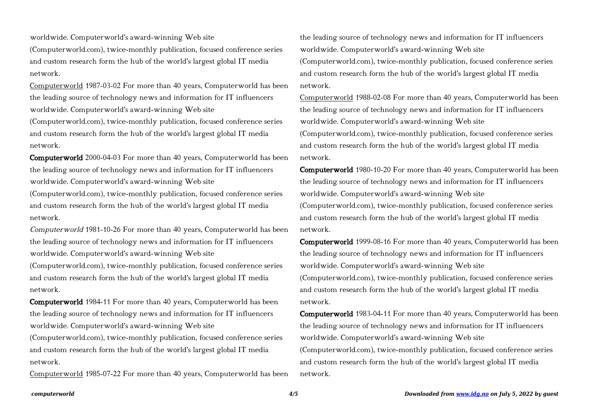worldwide. Computerworld's award-winning Web site

(Computerworld.com), twice-monthly publication, focused conference series and custom research form the hub of the world's largest global IT media network.

Computerworld 1987-03-02 For more than 40 years, Computerworld has been the leading source of technology news and information for IT influencers worldwide. Computerworld's award-winning Web site

(Computerworld.com), twice-monthly publication, focused conference series and custom research form the hub of the world's largest global IT media network.

Computerworld 2000-04-03 For more than 40 years, Computerworld has been the leading source of technology news and information for IT influencers worldwide. Computerworld's award-winning Web site

(Computerworld.com), twice-monthly publication, focused conference series and custom research form the hub of the world's largest global IT media network.

Computerworld 1981-10-26 For more than 40 years, Computerworld has been the leading source of technology news and information for IT influencers worldwide. Computerworld's award-winning Web site

(Computerworld.com), twice-monthly publication, focused conference series and custom research form the hub of the world's largest global IT media network.

Computerworld 1984-11 For more than 40 years, Computerworld has been the leading source of technology news and information for IT influencers worldwide. Computerworld's award-winning Web site

(Computerworld.com), twice-monthly publication, focused conference series and custom research form the hub of the world's largest global IT media network.

Computerworld 1985-07-22 For more than 40 years, Computerworld has been

the leading source of technology news and information for IT influencers worldwide. Computerworld's award-winning Web site (Computerworld.com), twice-monthly publication, focused conference series and custom research form the hub of the world's largest global IT media network.

Computerworld 1988-02-08 For more than 40 years, Computerworld has been the leading source of technology news and information for IT influencers worldwide. Computerworld's award-winning Web site (Computerworld.com), twice-monthly publication, focused conference series and custom research form the hub of the world's largest global IT media network.

Computerworld 1980-10-20 For more than 40 years, Computerworld has been the leading source of technology news and information for IT influencers worldwide. Computerworld's award-winning Web site

(Computerworld.com), twice-monthly publication, focused conference series and custom research form the hub of the world's largest global IT media network.

Computerworld 1999-08-16 For more than 40 years, Computerworld has been the leading source of technology news and information for IT influencers worldwide. Computerworld's award-winning Web site (Computerworld.com), twice-monthly publication, focused conference series and custom research form the hub of the world's largest global IT media network.

Computerworld 1983-04-11 For more than 40 years, Computerworld has been the leading source of technology news and information for IT influencers worldwide. Computerworld's award-winning Web site (Computerworld.com), twice-monthly publication, focused conference series and custom research form the hub of the world's largest global IT media network.